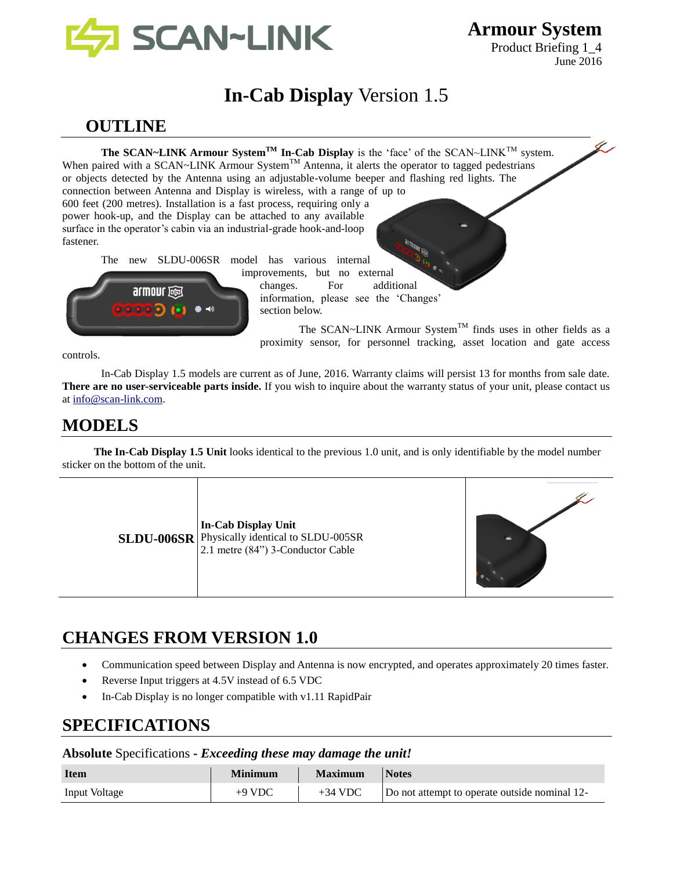

**Armour System** Product Briefing 1\_4

June 2016

# **In-Cab Display** Version 1.5

## **OUTLINE**

**The SCAN~LINK Armour System<sup>TM</sup> In-Cab Display** is the 'face' of the SCAN~LINK<sup>TM</sup> system. When paired with a SCAN~LINK Armour System<sup>TM</sup> Antenna, it alerts the operator to tagged pedestrians or objects detected by the Antenna using an adjustable-volume beeper and flashing red lights. The connection between Antenna and Display is wireless, with a range of up to 600 feet (200 metres). Installation is a fast process, requiring only a power hook-up, and the Display can be attached to any available surface in the operator's cabin via an industrial-grade hook-and-loop fastener. The new SLDU-006SR model has various internal



improvements, but no external changes. For additional information, please see the 'Changes' section below.

The SCAN~LINK Armour System<sup>TM</sup> finds uses in other fields as a proximity sensor, for personnel tracking, asset location and gate access

controls.

In-Cab Display 1.5 models are current as of June, 2016. Warranty claims will persist 13 for months from sale date. **There are no user-serviceable parts inside.** If you wish to inquire about the warranty status of your unit, please contact us at [info@scan-link.com.](mailto:info@scan-link.com)

## **MODELS**

**The In-Cab Display 1.5 Unit** looks identical to the previous 1.0 unit, and is only identifiable by the model number sticker on the bottom of the unit.



# **CHANGES FROM VERSION 1.0**

- Communication speed between Display and Antenna is now encrypted, and operates approximately 20 times faster.
- Reverse Input triggers at 4.5V instead of 6.5 VDC
- In-Cab Display is no longer compatible with v1.11 RapidPair

## **SPECIFICATIONS**

#### **Absolute** Specifications **-** *Exceeding these may damage the unit!*

| <b>Item</b>          | Minimum  | <b>Maximum</b> | <b>Notes</b>                                  |
|----------------------|----------|----------------|-----------------------------------------------|
| <b>Input Voltage</b> | $+9$ VDC | $+34$ VDC      | Do not attempt to operate outside nominal 12- |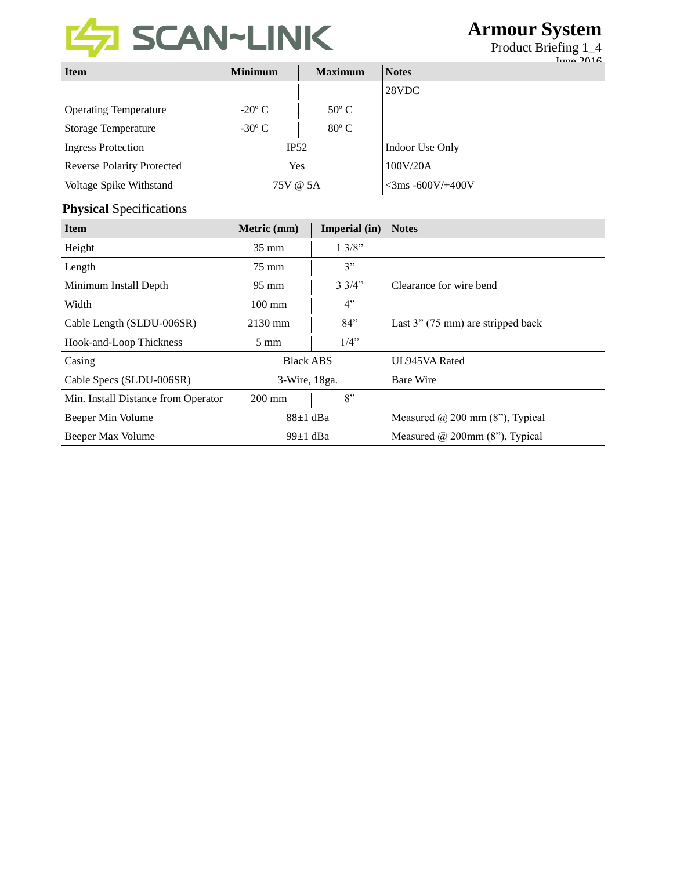

# **Armour System**

Product Briefing 1\_4

|                                   |                 |                |                     | $_{\text{Luna}}$ 2016 |
|-----------------------------------|-----------------|----------------|---------------------|-----------------------|
| <b>Item</b>                       | <b>Minimum</b>  | <b>Maximum</b> | <b>Notes</b>        |                       |
|                                   |                 |                | 28VDC               |                       |
| <b>Operating Temperature</b>      | $-20^{\circ}$ C | $50^{\circ}$ C |                     |                       |
| <b>Storage Temperature</b>        | $-30^{\circ}$ C | $80^{\circ}$ C |                     |                       |
| <b>Ingress Protection</b>         | IP52            |                | Indoor Use Only     |                       |
| <b>Reverse Polarity Protected</b> | <b>Yes</b>      |                | 100V/20A            |                       |
| Voltage Spike Withstand           | 75V @ 5A        |                | $<$ 3ms -600V/+400V |                       |

### **Physical** Specifications

| <b>Item</b>                         | Metric (mm)      | Imperial (in)   | Notes                                  |
|-------------------------------------|------------------|-----------------|----------------------------------------|
| Height                              | $35 \text{ mm}$  | 13/8"           |                                        |
| Length                              | $75 \text{ mm}$  | 3"              |                                        |
| Minimum Install Depth               | $95 \text{ mm}$  | $3 \frac{3}{4}$ | Clearance for wire bend                |
| Width                               | $100 \text{ mm}$ | 4"              |                                        |
| Cable Length (SLDU-006SR)           | $2130$ mm        | 84"             | Last 3" (75 mm) are stripped back      |
| Hook-and-Loop Thickness             | $5 \text{ mm}$   | $1/4$ "         |                                        |
| Casing                              | <b>Black ABS</b> |                 | UL945VA Rated                          |
| Cable Specs (SLDU-006SR)            | 3-Wire, 18ga.    |                 | <b>Bare Wire</b>                       |
| Min. Install Distance from Operator | $200 \text{ mm}$ | 8"              |                                        |
| Beeper Min Volume                   | $88\pm1$ dBa     |                 | Measured $\omega$ 200 mm (8"), Typical |
| Beeper Max Volume                   | 99 $\pm$ 1 dBa   |                 | Measured $@$ 200mm (8"), Typical       |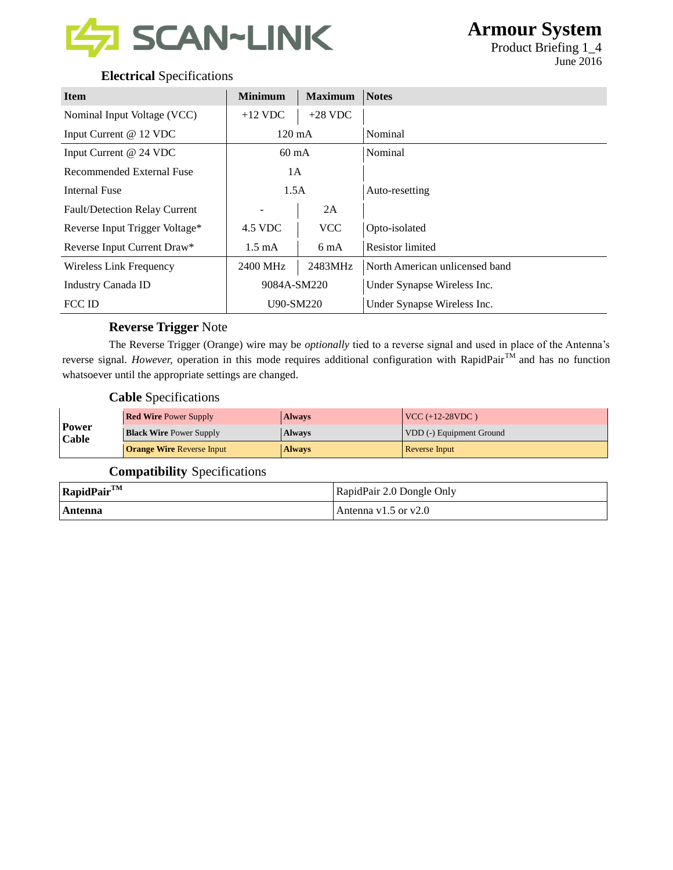

Product Briefing 1\_4 June 2016

### **Electrical** Specifications

| <b>Item</b>                          | <b>Minimum</b>   | <b>Maximum</b> | <b>Notes</b>                   |
|--------------------------------------|------------------|----------------|--------------------------------|
| Nominal Input Voltage (VCC)          | $+12$ VDC        | $+28$ VDC      |                                |
| Input Current @ 12 VDC               | $120 \text{ mA}$ |                | Nominal                        |
| Input Current @ 24 VDC               | $60 \text{ mA}$  |                | Nominal                        |
| <b>Recommended External Fuse</b>     | 1A               |                |                                |
| <b>Internal Fuse</b>                 | 1.5A             |                | Auto-resetting                 |
| <b>Fault/Detection Relay Current</b> |                  | 2A             |                                |
| Reverse Input Trigger Voltage*       | 4.5 VDC          | <b>VCC</b>     | Opto-isolated                  |
| Reverse Input Current Draw*          | $1.5 \text{ mA}$ | 6 mA           | <b>Resistor</b> limited        |
| Wireless Link Frequency              | 2400 MHz         | 2483MHz        | North American unlicensed band |
| Industry Canada ID                   | 9084A-SM220      |                | Under Synapse Wireless Inc.    |
| FCC ID                               | U90-SM220        |                | Under Synapse Wireless Inc.    |

### **Reverse Trigger** Note

The Reverse Trigger (Orange) wire may be *optionally* tied to a reverse signal and used in place of the Antenna's reverse signal. *However*, operation in this mode requires additional configuration with RapidPair<sup>TM</sup> and has no function whatsoever until the appropriate settings are changed.

### **Cable** Specifications

| Power<br>Cable | <b>Red Wire Power Supply</b>     | <b>Always</b> | $VCC (+12-28VDC)$        |
|----------------|----------------------------------|---------------|--------------------------|
|                | <b>Black Wire Power Supply</b>   | <b>Always</b> | VDD (-) Equipment Ground |
|                | <b>Orange Wire Reverse Input</b> | <b>Always</b> | <b>Reverse Input</b>     |

### **Compatibility** Specifications

| $RapidPair^{TM}$ | RapidPair 2.0 Dongle Only |
|------------------|---------------------------|
| Antenna          | Antenna $v1.5$ or $v2.0$  |